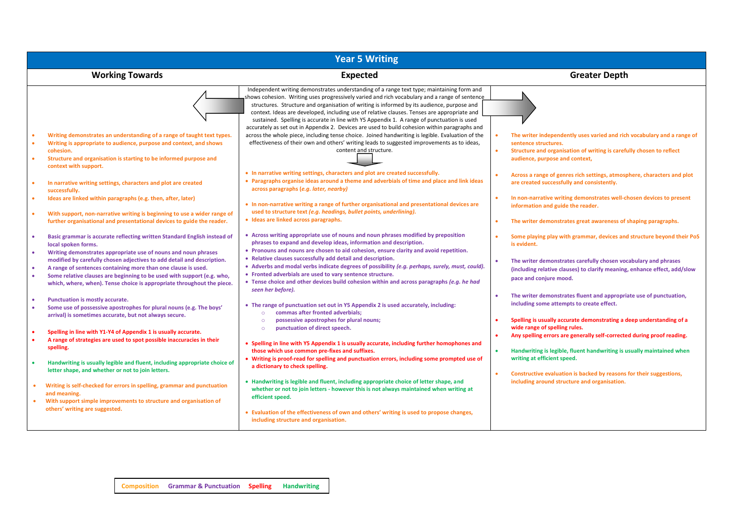| <b>Year 5 Writing</b>                                                                                                                                                                                                                                                                            |                                                                                                                                                                                                                                                                                                                                                                                                                                                                                       |                                                                                                                                                                                                           |  |  |
|--------------------------------------------------------------------------------------------------------------------------------------------------------------------------------------------------------------------------------------------------------------------------------------------------|---------------------------------------------------------------------------------------------------------------------------------------------------------------------------------------------------------------------------------------------------------------------------------------------------------------------------------------------------------------------------------------------------------------------------------------------------------------------------------------|-----------------------------------------------------------------------------------------------------------------------------------------------------------------------------------------------------------|--|--|
| <b>Working Towards</b>                                                                                                                                                                                                                                                                           | <b>Expected</b>                                                                                                                                                                                                                                                                                                                                                                                                                                                                       | <b>Greater Depth</b>                                                                                                                                                                                      |  |  |
|                                                                                                                                                                                                                                                                                                  | Independent writing demonstrates understanding of a range text type; maintaining form and<br>shows cohesion. Writing uses progressively varied and rich vocabulary and a range of sentence<br>structures. Structure and organisation of writing is informed by its audience, purpose and<br>context. Ideas are developed, including use of relative clauses. Tenses are appropriate and<br>sustained. Spelling is accurate in line with Y5 Appendix 1. A range of punctuation is used |                                                                                                                                                                                                           |  |  |
| Writing demonstrates an understanding of a range of taught text types.<br>Writing is appropriate to audience, purpose and context, and shows<br>cohesion.<br>Structure and organisation is starting to be informed purpose and<br>context with support.                                          | accurately as set out in Appendix 2. Devices are used to build cohesion within paragraphs and<br>across the whole piece, including tense choice. Joined handwriting is legible. Evaluation of the<br>effectiveness of their own and others' writing leads to suggested improvements as to ideas,<br>content and structure.                                                                                                                                                            | The writer independently uses varied and rich vocabulary and a range of<br>sentence structures.<br>Structure and organisation of writing is carefully chosen to reflect<br>audience, purpose and context, |  |  |
| In narrative writing settings, characters and plot are created<br>successfully.                                                                                                                                                                                                                  | • In narrative writing settings, characters and plot are created successfully.<br>• Paragraphs organise ideas around a theme and adverbials of time and place and link ideas<br>across paragraphs (e.g. later, nearby)                                                                                                                                                                                                                                                                | Across a range of genres rich settings, atmosphere, characters and plot<br>are created successfully and consistently.                                                                                     |  |  |
| Ideas are linked within paragraphs (e.g. then, after, later)<br>With support, non-narrative writing is beginning to use a wider range of                                                                                                                                                         | • In non-narrative writing a range of further organisational and presentational devices are<br>used to structure text (e.g. headings, bullet points, underlining).                                                                                                                                                                                                                                                                                                                    | In non-narrative writing demonstrates well-chosen devices to present<br>information and guide the reader.                                                                                                 |  |  |
| further organisational and presentational devices to guide the reader.                                                                                                                                                                                                                           | · Ideas are linked across paragraphs.                                                                                                                                                                                                                                                                                                                                                                                                                                                 | The writer demonstrates great awareness of shaping paragraphs.                                                                                                                                            |  |  |
| Basic grammar is accurate reflecting written Standard English instead of<br>local spoken forms.<br>Writing demonstrates appropriate use of nouns and noun phrases                                                                                                                                | • Across writing appropriate use of nouns and noun phrases modified by preposition<br>phrases to expand and develop ideas, information and description.<br>• Pronouns and nouns are chosen to aid cohesion, ensure clarity and avoid repetition.                                                                                                                                                                                                                                      | Some playing play with grammar, devices and structure beyond their PoS<br>is evident.                                                                                                                     |  |  |
| modified by carefully chosen adjectives to add detail and description.<br>A range of sentences containing more than one clause is used.<br>Some relative clauses are beginning to be used with support (e.g. who,<br>٠<br>which, where, when). Tense choice is appropriate throughout the piece. | • Relative clauses successfully add detail and description.<br>• Adverbs and modal verbs indicate degrees of possibility (e.g. perhaps, surely, must, could).<br>• Fronted adverbials are used to vary sentence structure.<br>• Tense choice and other devices build cohesion within and across paragraphs (e.g. he had<br>seen her before).                                                                                                                                          | The writer demonstrates carefully chosen vocabulary and phrases<br>(including relative clauses) to clarify meaning, enhance effect, add/slow<br>pace and conjure mood.                                    |  |  |
| Punctuation is mostly accurate.<br>Some use of possessive apostrophes for plural nouns (e.g. The boys'<br>arrival) is sometimes accurate, but not always secure.                                                                                                                                 | • The range of punctuation set out in Y5 Appendix 2 is used accurately, including:<br>commas after fronted adverbials;<br>$\circ$<br>possessive apostrophes for plural nouns;<br>$\circ$                                                                                                                                                                                                                                                                                              | The writer demonstrates fluent and appropriate use of punctuation,<br>including some attempts to create effect.<br>Spelling is usually accurate demonstrating a deep understanding of a                   |  |  |
| Spelling in line with Y1-Y4 of Appendix 1 is usually accurate.<br>A range of strategies are used to spot possible inaccuracies in their<br>spelling.                                                                                                                                             | punctuation of direct speech.<br>$\circ$<br>• Spelling in line with Y5 Appendix 1 is usually accurate, including further homophones and<br>those which use common pre-fixes and suffixes.                                                                                                                                                                                                                                                                                             | wide range of spelling rules.<br>Any spelling errors are generally self-corrected during proof reading.<br>Handwriting is legible, fluent handwriting is usually maintained when                          |  |  |
| Handwriting is usually legible and fluent, including appropriate choice of<br>letter shape, and whether or not to join letters.                                                                                                                                                                  | Writing is proof-read for spelling and punctuation errors, including some prompted use of<br>a dictionary to check spelling.                                                                                                                                                                                                                                                                                                                                                          | writing at efficient speed.<br>Constructive evaluation is backed by reasons for their suggestions,                                                                                                        |  |  |
| Writing is self-checked for errors in spelling, grammar and punctuation<br>and meaning.<br>With support simple improvements to structure and organisation of<br>$\bullet$                                                                                                                        | • Handwriting is legible and fluent, including appropriate choice of letter shape, and<br>whether or not to join letters - however this is not always maintained when writing at<br>efficient speed.                                                                                                                                                                                                                                                                                  | including around structure and organisation.                                                                                                                                                              |  |  |
| others' writing are suggested.                                                                                                                                                                                                                                                                   | • Evaluation of the effectiveness of own and others' writing is used to propose changes,<br>including structure and organisation.                                                                                                                                                                                                                                                                                                                                                     |                                                                                                                                                                                                           |  |  |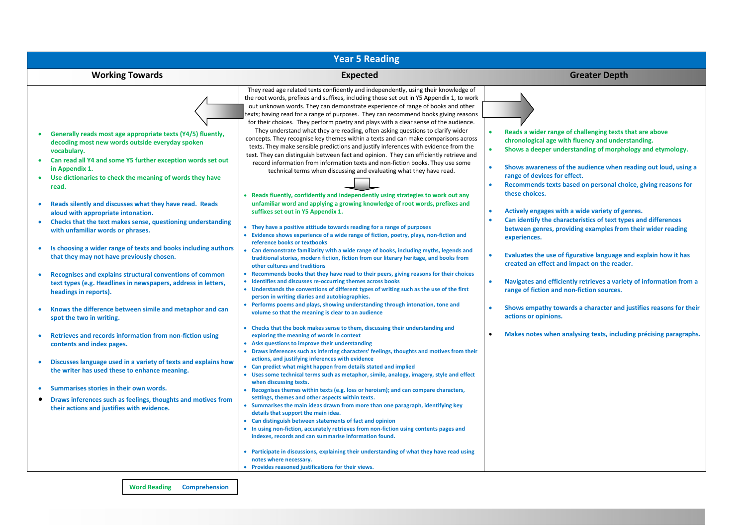| <b>Year 5 Reading</b>                                                                                                                                                                                                                                                                                                                                                                                                                                                                                                                                                                                                                                                                                                                                                                                                                                                                                                                                                                                                                                                                                                                                                                                                                  |                                                                                                                                                                                                                                                                                                                                                                                                                                                                                                                                                                                                                                                                                                                                                                                                                                                                                                                                                                                                                                                                                                                                                                                                                                                                                                                                                                                                                                                                                                                                                                                                                                                                                                                                                                                                                                                                                                                                                                                                                                                                                                                                                                                                                                                                                                                                                                                                                                                                                                                                                                                                                                                                                                                                                                                                                                                                                                                                                                                                                                                                                                                                                                                        |                                                                                                                                                                                                                                                                                                                                                                                                                                                                                                                                                                                                                                                                                                                                                                                                                                                                                                                                                                            |  |  |  |
|----------------------------------------------------------------------------------------------------------------------------------------------------------------------------------------------------------------------------------------------------------------------------------------------------------------------------------------------------------------------------------------------------------------------------------------------------------------------------------------------------------------------------------------------------------------------------------------------------------------------------------------------------------------------------------------------------------------------------------------------------------------------------------------------------------------------------------------------------------------------------------------------------------------------------------------------------------------------------------------------------------------------------------------------------------------------------------------------------------------------------------------------------------------------------------------------------------------------------------------|----------------------------------------------------------------------------------------------------------------------------------------------------------------------------------------------------------------------------------------------------------------------------------------------------------------------------------------------------------------------------------------------------------------------------------------------------------------------------------------------------------------------------------------------------------------------------------------------------------------------------------------------------------------------------------------------------------------------------------------------------------------------------------------------------------------------------------------------------------------------------------------------------------------------------------------------------------------------------------------------------------------------------------------------------------------------------------------------------------------------------------------------------------------------------------------------------------------------------------------------------------------------------------------------------------------------------------------------------------------------------------------------------------------------------------------------------------------------------------------------------------------------------------------------------------------------------------------------------------------------------------------------------------------------------------------------------------------------------------------------------------------------------------------------------------------------------------------------------------------------------------------------------------------------------------------------------------------------------------------------------------------------------------------------------------------------------------------------------------------------------------------------------------------------------------------------------------------------------------------------------------------------------------------------------------------------------------------------------------------------------------------------------------------------------------------------------------------------------------------------------------------------------------------------------------------------------------------------------------------------------------------------------------------------------------------------------------------------------------------------------------------------------------------------------------------------------------------------------------------------------------------------------------------------------------------------------------------------------------------------------------------------------------------------------------------------------------------------------------------------------------------------------------------------------------------|----------------------------------------------------------------------------------------------------------------------------------------------------------------------------------------------------------------------------------------------------------------------------------------------------------------------------------------------------------------------------------------------------------------------------------------------------------------------------------------------------------------------------------------------------------------------------------------------------------------------------------------------------------------------------------------------------------------------------------------------------------------------------------------------------------------------------------------------------------------------------------------------------------------------------------------------------------------------------|--|--|--|
| <b>Working Towards</b>                                                                                                                                                                                                                                                                                                                                                                                                                                                                                                                                                                                                                                                                                                                                                                                                                                                                                                                                                                                                                                                                                                                                                                                                                 | <b>Expected</b>                                                                                                                                                                                                                                                                                                                                                                                                                                                                                                                                                                                                                                                                                                                                                                                                                                                                                                                                                                                                                                                                                                                                                                                                                                                                                                                                                                                                                                                                                                                                                                                                                                                                                                                                                                                                                                                                                                                                                                                                                                                                                                                                                                                                                                                                                                                                                                                                                                                                                                                                                                                                                                                                                                                                                                                                                                                                                                                                                                                                                                                                                                                                                                        | <b>Greater Depth</b>                                                                                                                                                                                                                                                                                                                                                                                                                                                                                                                                                                                                                                                                                                                                                                                                                                                                                                                                                       |  |  |  |
| Generally reads most age appropriate texts (Y4/5) fluently,<br>decoding most new words outside everyday spoken<br>vocabulary.<br>Can read all Y4 and some Y5 further exception words set out<br>in Appendix 1.<br>Use dictionaries to check the meaning of words they have<br>read.<br>Reads silently and discusses what they have read. Reads<br>aloud with appropriate intonation.<br>Checks that the text makes sense, questioning understanding<br>with unfamiliar words or phrases.<br>Is choosing a wider range of texts and books including authors<br>that they may not have previously chosen.<br>Recognises and explains structural conventions of common<br>text types (e.g. Headlines in newspapers, address in letters,<br>headings in reports).<br>Knows the difference between simile and metaphor and can<br>spot the two in writing.<br>Retrieves and records information from non-fiction using<br>contents and index pages.<br>Discusses language used in a variety of texts and explains how<br>the writer has used these to enhance meaning.<br>Summarises stories in their own words.<br>Draws inferences such as feelings, thoughts and motives from<br>$\bullet$<br>their actions and justifies with evidence. | They read age related texts confidently and independently, using their knowledge of<br>the root words, prefixes and suffixes, including those set out in Y5 Appendix 1, to work<br>out unknown words. They can demonstrate experience of range of books and other<br>texts; having read for a range of purposes. They can recommend books giving reasons<br>for their choices. They perform poetry and plays with a clear sense of the audience.<br>They understand what they are reading, often asking questions to clarify wider<br>concepts. They recognise key themes within a texts and can make comparisons across<br>texts. They make sensible predictions and justify inferences with evidence from the<br>text. They can distinguish between fact and opinion. They can efficiently retrieve and<br>record information from information texts and non-fiction books. They use some<br>technical terms when discussing and evaluating what they have read.<br>Reads fluently, confidently and independently using strategies to work out any<br>unfamiliar word and applying a growing knowledge of root words, prefixes and<br>suffixes set out in Y5 Appendix 1.<br>• They have a positive attitude towards reading for a range of purposes<br>• Evidence shows experience of a wide range of fiction, poetry, plays, non-fiction and<br>reference books or textbooks<br>Can demonstrate familiarity with a wide range of books, including myths, legends and<br>traditional stories, modern fiction, fiction from our literary heritage, and books from<br>other cultures and traditions<br>• Recommends books that they have read to their peers, giving reasons for their choices<br>• Identifies and discusses re-occurring themes across books<br>• Understands the conventions of different types of writing such as the use of the first<br>person in writing diaries and autobiographies.<br>Performs poems and plays, showing understanding through intonation, tone and<br>volume so that the meaning is clear to an audience<br>• Checks that the book makes sense to them, discussing their understanding and<br>exploring the meaning of words in context<br>• Asks questions to improve their understanding<br>• Draws inferences such as inferring characters' feelings, thoughts and motives from their<br>actions, and justifying inferences with evidence<br>• Can predict what might happen from details stated and implied<br>• Uses some technical terms such as metaphor, simile, analogy, imagery, style and effect<br>when discussing texts.<br>• Recognises themes within texts (e.g. loss or heroism); and can compare characters,<br>settings, themes and other aspects within texts.<br>Summarises the main ideas drawn from more than one paragraph, identifying key<br>details that support the main idea.<br>• Can distinguish between statements of fact and opinion<br>• In using non-fiction, accurately retrieves from non-fiction using contents pages and<br>indexes, records and can summarise information found.<br>Participate in discussions, explaining their understanding of what they have read using<br>notes where necessary. | Reads a wider range of challenging texts that are above<br>chronological age with fluency and understanding.<br>Shows a deeper understanding of morphology and etymology.<br>Shows awareness of the audience when reading out loud, using a<br>range of devices for effect.<br>Recommends texts based on personal choice, giving reasons for<br>these choices.<br>Actively engages with a wide variety of genres.<br>Can identify the characteristics of text types and differences<br>between genres, providing examples from their wider reading<br>experiences.<br>Evaluates the use of figurative language and explain how it has<br>created an effect and impact on the reader.<br>Navigates and efficiently retrieves a variety of information from a<br>range of fiction and non-fiction sources.<br>Shows empathy towards a character and justifies reasons for their<br>actions or opinions.<br>Makes notes when analysing texts, including précising paragraphs. |  |  |  |
|                                                                                                                                                                                                                                                                                                                                                                                                                                                                                                                                                                                                                                                                                                                                                                                                                                                                                                                                                                                                                                                                                                                                                                                                                                        | Provides reasoned justifications for their views.                                                                                                                                                                                                                                                                                                                                                                                                                                                                                                                                                                                                                                                                                                                                                                                                                                                                                                                                                                                                                                                                                                                                                                                                                                                                                                                                                                                                                                                                                                                                                                                                                                                                                                                                                                                                                                                                                                                                                                                                                                                                                                                                                                                                                                                                                                                                                                                                                                                                                                                                                                                                                                                                                                                                                                                                                                                                                                                                                                                                                                                                                                                                      |                                                                                                                                                                                                                                                                                                                                                                                                                                                                                                                                                                                                                                                                                                                                                                                                                                                                                                                                                                            |  |  |  |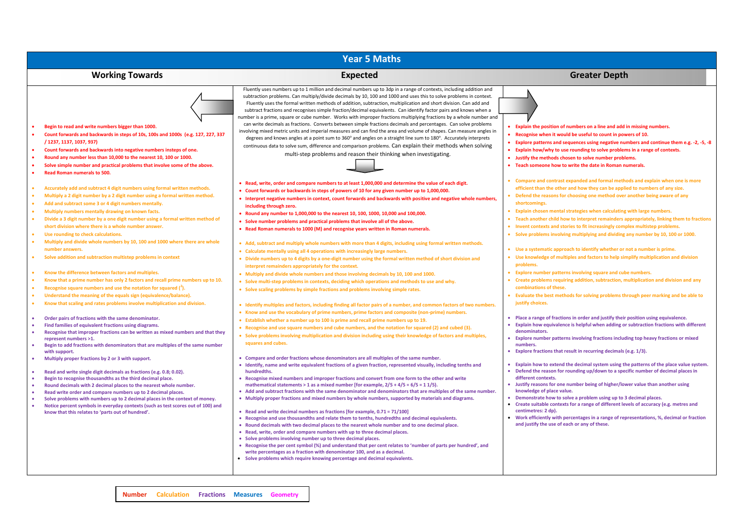| <b>Year 5 Maths</b>                                                                                                                                                                                                                                                                                                                                                                                                                                                                                                                                                                                                                                                                                                                     |                                                                                                                                                                                                                                                                                                                                                                                                                                                                                                                                                                                                                                                                                                                                                                                                                                                                                                                                                                                                                                                                                                                                                           |                                                                                                                                                                                                                                                                                                                                                                                                                                                                                                                                                                                                                                                                                                                      |  |  |
|-----------------------------------------------------------------------------------------------------------------------------------------------------------------------------------------------------------------------------------------------------------------------------------------------------------------------------------------------------------------------------------------------------------------------------------------------------------------------------------------------------------------------------------------------------------------------------------------------------------------------------------------------------------------------------------------------------------------------------------------|-----------------------------------------------------------------------------------------------------------------------------------------------------------------------------------------------------------------------------------------------------------------------------------------------------------------------------------------------------------------------------------------------------------------------------------------------------------------------------------------------------------------------------------------------------------------------------------------------------------------------------------------------------------------------------------------------------------------------------------------------------------------------------------------------------------------------------------------------------------------------------------------------------------------------------------------------------------------------------------------------------------------------------------------------------------------------------------------------------------------------------------------------------------|----------------------------------------------------------------------------------------------------------------------------------------------------------------------------------------------------------------------------------------------------------------------------------------------------------------------------------------------------------------------------------------------------------------------------------------------------------------------------------------------------------------------------------------------------------------------------------------------------------------------------------------------------------------------------------------------------------------------|--|--|
| <b>Working Towards</b>                                                                                                                                                                                                                                                                                                                                                                                                                                                                                                                                                                                                                                                                                                                  | <b>Expected</b>                                                                                                                                                                                                                                                                                                                                                                                                                                                                                                                                                                                                                                                                                                                                                                                                                                                                                                                                                                                                                                                                                                                                           | <b>Greater Depth</b>                                                                                                                                                                                                                                                                                                                                                                                                                                                                                                                                                                                                                                                                                                 |  |  |
| Begin to read and write numbers bigger than 1000.<br>Count forwards and backwards in steps of 10s, 100s and 1000s (e.g. 127, 227, 337<br>/ 1237, 1137, 1037, 937)<br>Count forwards and backwards into negative numbers insteps of one.<br>Round any number less than 10,000 to the nearest 10, 100 or 1000.<br>Solve simple number and practical problems that involve some of the above.<br>Read Roman numerals to 500.                                                                                                                                                                                                                                                                                                               | Fluently uses numbers up to 1 million and decimal numbers up to 3dp in a range of contexts, including addition and<br>subtraction problems. Can multiply/divide decimals by 10, 100 and 1000 and uses this to solve problems in context.<br>Fluently uses the formal written methods of addition, subtraction, multiplication and short division. Can add and<br>subtract fractions and recognises simple fraction/decimal equivalents. Can identify factor pairs and knows when a<br>number is a prime, square or cube number. Works with improper fractions multiplying fractions by a whole number and<br>can write decimals as fractions. Converts between simple fractions decimals and percentages. Can solve problems<br>involving mixed metric units and imperial measures and can find the area and volume of shapes. Can measure angles in<br>degrees and knows angles at a point sum to 360° and angles on a straight line sum to 180°. Accurately interprets<br>continuous data to solve sum, difference and comparison problems. Can explain their methods when solving<br>multi-step problems and reason their thinking when investigating. | • Explain the position of numbers on a line and add in missing numbers.<br>• Recognise when it would be useful to count in powers of 10.<br>• Explore patterns and sequences using negative numbers and continue them e.g. -2, -5, -8<br>• Explain how/why to use rounding to solve problems in a range of contexts.<br>• Justify the methods chosen to solve number problems.<br>• Teach someone how to write the date in Roman numerals.                                                                                                                                                                                                                                                                           |  |  |
| Accurately add and subtract 4 digit numbers using formal written methods.<br>Multiply a 2 digit number by a 2 digit number using a formal written method.<br>Add and subtract some 3 or 4 digit numbers mentally.<br>Multiply numbers mentally drawing on known facts.<br>Divide a 3 digit number by a one digit number using a formal written method of<br>ò.<br>short division where there is a whole number answer.<br>Use rounding to check calculations.<br>Multiply and divide whole numbers by 10, 100 and 1000 where there are whole                                                                                                                                                                                            | . Read, write, order and compare numbers to at least 1,000,000 and determine the value of each digit.<br>• Count forwards or backwards in steps of powers of 10 for any given number up to 1,000,000.<br>• Interpret negative numbers in context, count forwards and backwards with positive and negative whole numbers,<br>including through zero.<br>• Round any number to 1,000,000 to the nearest 10, 100, 1000, 10,000 and 100,000.<br>• Solve number problems and practical problems that involve all of the above.<br>• Read Roman numerals to 1000 (M) and recognise years written in Roman numerals.<br>• Add, subtract and multiply whole numbers with more than 4 digits, including using formal written methods.                                                                                                                                                                                                                                                                                                                                                                                                                              | • Compare and contrast expanded and formal methods and explain when one is more<br>efficient than the other and how they can be applied to numbers of any size.<br>• Defend the reasons for choosing one method over another being aware of any<br>shortcomings.<br>• Explain chosen mental strategies when calculating with large numbers.<br>• Teach another child how to interpret remainders appropriately, linking them to fractions<br>• Invent contexts and stories to fit increasingly complex multistep problems.<br>• Solve problems involving multiplying and dividing any number by 10, 100 or 1000.                                                                                                     |  |  |
| number answers.<br>Solve addition and subtraction multistep problems in context                                                                                                                                                                                                                                                                                                                                                                                                                                                                                                                                                                                                                                                         | • Calculate mentally using all 4 operations with increasingly large numbers.<br>• Divide numbers up to 4 digits by a one-digit number using the formal written method of short division and<br>interpret remainders appropriately for the context.                                                                                                                                                                                                                                                                                                                                                                                                                                                                                                                                                                                                                                                                                                                                                                                                                                                                                                        | • Use a systematic approach to identify whether or not a number is prime.<br>• Use knowledge of multiples and factors to help simplify multiplication and division<br>problems.                                                                                                                                                                                                                                                                                                                                                                                                                                                                                                                                      |  |  |
| Know the difference between factors and multiples.<br>Know that a prime number has only 2 factors and recall prime numbers up to 10.<br>Recognise square numbers and use the notation for squared $(^2)$ .<br>Understand the meaning of the equals sign (equivalence/balance).                                                                                                                                                                                                                                                                                                                                                                                                                                                          | . Multiply and divide whole numbers and those involving decimals by 10, 100 and 1000.<br>• Solve multi-step problems in contexts, deciding which operations and methods to use and why.<br>• Solve scaling problems by simple fractions and problems involving simple rates.                                                                                                                                                                                                                                                                                                                                                                                                                                                                                                                                                                                                                                                                                                                                                                                                                                                                              | • Explore number patterns involving square and cube numbers.<br>• Create problems requiring addition, subtraction, multiplication and division and any<br>combinations of these.<br>• Evaluate the best methods for solving problems through peer marking and be able to                                                                                                                                                                                                                                                                                                                                                                                                                                             |  |  |
| Know that scaling and rates problems involve multiplication and division.<br>Order pairs of fractions with the same denominator.<br>Find families of equivalent fractions using diagrams.<br>Recognise that improper fractions can be written as mixed numbers and that they<br>represent numbers >1.<br>Begin to add fractions with denominators that are multiples of the same number<br>with support.<br>Multiply proper fractions by 2 or 3 with support.<br>Read and write single digit decimals as fractions (e.g. 0.8; 0.02).<br>Begin to recognise thousandths as the third decimal place.<br>Round decimals with 2 decimal places to the nearest whole number.<br>Read write order and compare numbers up to 2 decimal places. | • Identify multiples and factors, including finding all factor pairs of a number, and common factors of two numbers.<br>• Know and use the vocabulary of prime numbers, prime factors and composite (non-prime) numbers.<br>• Establish whether a number up to 100 is prime and recall prime numbers up to 19.<br>• Recognise and use square numbers and cube numbers, and the notation for squared (2) and cubed (3).<br>• Solve problems involving multiplication and division including using their knowledge of factors and multiples,<br>squares and cubes.<br>• Compare and order fractions whose denominators are all multiples of the same number.<br>• Identify, name and write equivalent fractions of a given fraction, represented visually, including tenths and<br>hundredths.<br>. Recognise mixed numbers and improper fractions and convert from one form to the other and write<br>mathematical statements > 1 as a mixed number [for example, $2/5 + 4/5 = 6/5 = 11/5$ ].<br>• Add and subtract fractions with the same denominator and denominators that are multiples of the same number.                                            | justify choices.<br>• Place a range of fractions in order and justify their position using equivalence.<br>• Explain how equivalence is helpful when adding or subtraction fractions with different<br>denominators.<br>• Explore number patterns involving fractions including top heavy fractions or mixed<br>numbers.<br>Explore fractions that result in recurring decimals (e.g. 1/3).<br>• Explain how to extend the decimal system using the patterns of the place value system.<br>• Defend the reason for rounding up/down to a specific number of decimal places in<br>different contexts.<br>• Justify reasons for one number being of higher/lower value than another using<br>knowledge of place value. |  |  |
| Solve problems with numbers up to 2 decimal places in the context of money.<br>Notice percent symbols in everyday contexts (such as test scores out of 100) and<br>know that this relates to 'parts out of hundred'.                                                                                                                                                                                                                                                                                                                                                                                                                                                                                                                    | . Multiply proper fractions and mixed numbers by whole numbers, supported by materials and diagrams.<br>• Read and write decimal numbers as fractions [for example, 0.71 = 71/100]<br>• Recognise and use thousandths and relate them to tenths, hundredths and decimal equivalents.<br>. Round decimals with two decimal places to the nearest whole number and to one decimal place.<br>• Read, write, order and compare numbers with up to three decimal places.<br>• Solve problems involving number up to three decimal places.<br>• Recognise the per cent symbol (%) and understand that per cent relates to 'number of parts per hundred', and<br>write percentages as a fraction with denominator 100, and as a decimal.<br>• Solve problems which require knowing percentage and decimal equivalents.                                                                                                                                                                                                                                                                                                                                           | • Demonstrate how to solve a problem using up to 3 decimal places.<br>• Create suitable contexts for a range of different levels of accuracy (e.g. metres and<br>centimetres: 2 dp).<br>• Work efficiently with percentages in a range of representations, %, decimal or fraction<br>and justify the use of each or any of these.                                                                                                                                                                                                                                                                                                                                                                                    |  |  |

**Statistics**